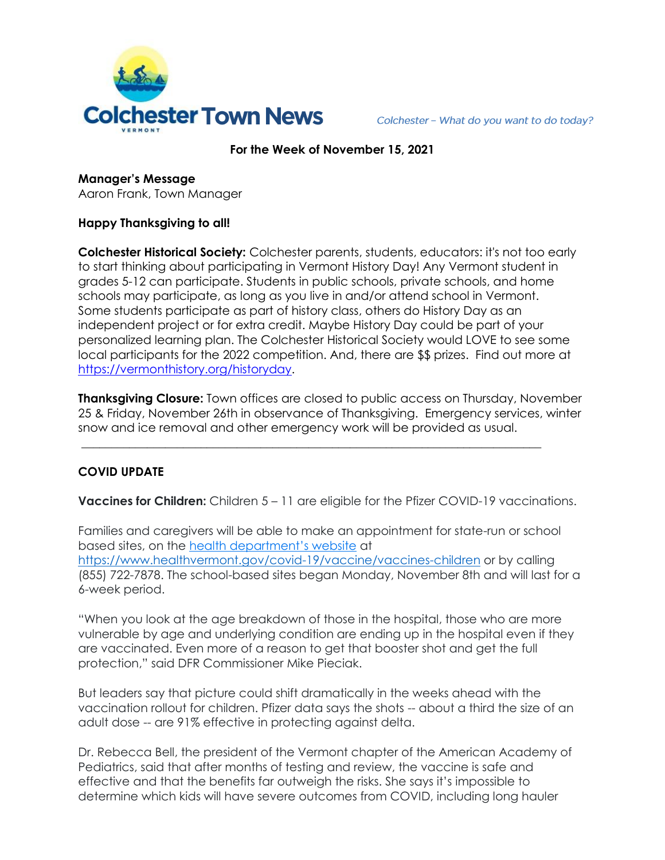

Colchester - What do you want to do today?

#### **For the Week of November 15, 2021**

**Manager's Message** Aaron Frank, Town Manager

### **Happy Thanksgiving to all!**

**Colchester Historical Society:** Colchester parents, students, educators: it's not too early to start thinking about participating in Vermont History Day! Any Vermont student in grades 5-12 can participate. Students in public schools, private schools, and home schools may participate, as long as you live in and/or attend school in Vermont. Some students participate as part of history class, others do History Day as an independent project or for extra credit. Maybe History Day could be part of your personalized learning plan. The Colchester Historical Society would LOVE to see some local participants for the 2022 competition. And, there are \$\$ prizes. Find out more at [https://vermonthistory.org/historyday.](https://vermonthistory.org/historyday)

**Thanksgiving Closure:** Town offices are closed to public access on Thursday, November 25 & Friday, November 26th in observance of Thanksgiving. Emergency services, winter snow and ice removal and other emergency work will be provided as usual.

**\_\_\_\_\_\_\_\_\_\_\_\_\_\_\_\_\_\_\_\_\_\_\_\_\_\_\_\_\_\_\_\_\_\_\_\_\_\_\_\_\_\_\_\_\_\_\_\_\_\_\_\_\_\_\_\_\_\_\_\_\_\_\_\_\_\_\_\_\_\_\_\_\_\_\_\_\_**

# **COVID UPDATE**

**Vaccines for Children:** Children 5 – 11 are eligible for the Pfizer COVID-19 vaccinations.

Families and caregivers will be able to make an appointment for state-run or school based sites, on the health department's website at <https://www.healthvermont.gov/covid-19/vaccine/vaccines-children> or by calling (855) 722-7878. The school-based sites began Monday, November 8th and will last for a 6-week period.

"When you look at the age breakdown of those in the hospital, those who are more vulnerable by age and underlying condition are ending up in the hospital even if they are vaccinated. Even more of a reason to get that booster shot and get the full protection," said DFR Commissioner Mike Pieciak.

But leaders say that picture could shift dramatically in the weeks ahead with the vaccination rollout for children. Pfizer data says the shots -- about a third the size of an adult dose -- are 91% effective in protecting against delta.

Dr. Rebecca Bell, the president of the Vermont chapter of the American Academy of Pediatrics, said that after months of testing and review, the vaccine is safe and effective and that the benefits far outweigh the risks. She says it's impossible to determine which kids will have severe outcomes from COVID, including long hauler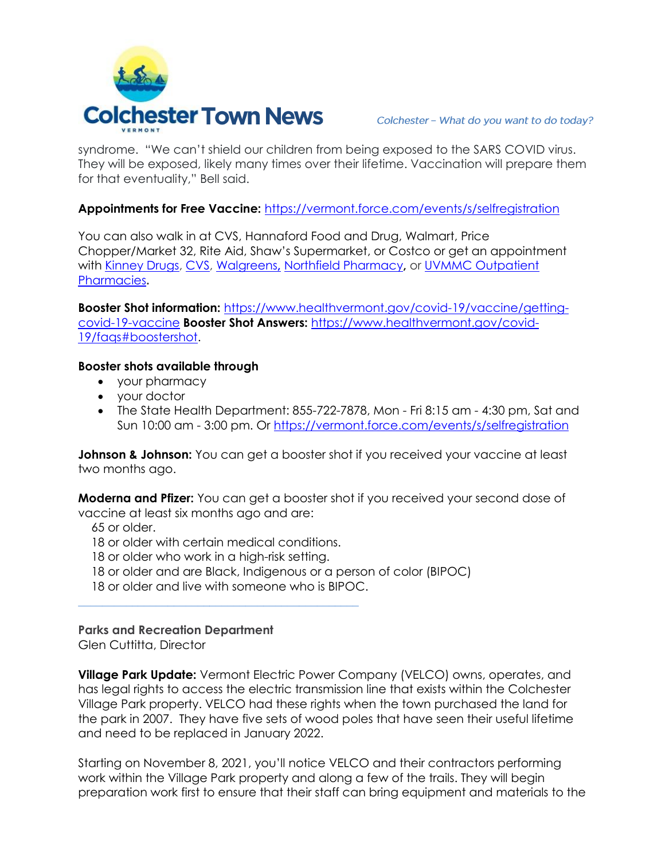

syndrome. "We can't shield our children from being exposed to the SARS COVID virus. They will be exposed, likely many times over their lifetime. Vaccination will prepare them for that eventuality," Bell said.

## **Appointments for Free Vaccine:** <https://vermont.force.com/events/s/selfregistration>

You can also walk in at CVS, Hannaford Food and Drug, Walmart, Price Chopper/Market 32, Rite Aid, Shaw's Supermarket, or Costco or get an appointment with [Kinney Drugs,](https://kinneydrugs.com/pharmacy/covid-19/vaccination-scheduling/) [CVS,](https://www.cvs.com/immunizations/covid-19-vaccine) [Walgreens](https://www.walgreens.com/schedulevaccine)**,** [Northfield Pharmacy](http://www.northfieldpharmacy.com/)**,** or [UVMMC Outpatient](https://www.uvmhealth.org/medcenter/departments-and-programs/pharmacy-services/schedule-your-covid-19-vaccine)  [Pharmacies](https://www.uvmhealth.org/medcenter/departments-and-programs/pharmacy-services/schedule-your-covid-19-vaccine)**.** 

**Booster Shot information:** [https://www.healthvermont.gov/covid-19/vaccine/getting](https://www.healthvermont.gov/covid-19/vaccine/getting-covid-19-vaccine)[covid-19-vaccine](https://www.healthvermont.gov/covid-19/vaccine/getting-covid-19-vaccine) **Booster Shot Answers:** [https://www.healthvermont.gov/covid-](https://www.healthvermont.gov/covid-19/faqs#boostershot)[19/faqs#boostershot.](https://www.healthvermont.gov/covid-19/faqs#boostershot)

### **Booster shots available through**

- your pharmacy
- your doctor
- The State Health Department: 855-722-7878, Mon Fri 8:15 am 4:30 pm, Sat and Sun 10:00 am - 3:00 pm. Or<https://vermont.force.com/events/s/selfregistration>

**Johnson & Johnson:** You can get a booster shot if you received your vaccine at least two months ago.

**Moderna and Pfizer:** You can get a booster shot if you received your second dose of vaccine at least six months ago and are:

65 or older.

18 or older with certain medical conditions.

**\_\_\_\_\_\_\_\_\_\_\_\_\_\_\_\_\_\_\_\_\_\_\_\_\_\_\_\_\_\_\_\_\_\_\_\_\_\_\_\_\_\_\_\_\_\_\_**

- 18 or older who work in a high-risk setting.
- 18 or older and are Black, Indigenous or a person of color (BIPOC)
- 18 or older and live with someone who is BIPOC.

# **Parks and Recreation Department**

Glen Cuttitta, Director

**Village Park Update:** Vermont Electric Power Company (VELCO) owns, operates, and has legal rights to access the electric transmission line that exists within the Colchester Village Park property. VELCO had these rights when the town purchased the land for the park in 2007. They have five sets of wood poles that have seen their useful lifetime and need to be replaced in January 2022.

Starting on November 8, 2021, you'll notice VELCO and their contractors performing work within the Village Park property and along a few of the trails. They will begin preparation work first to ensure that their staff can bring equipment and materials to the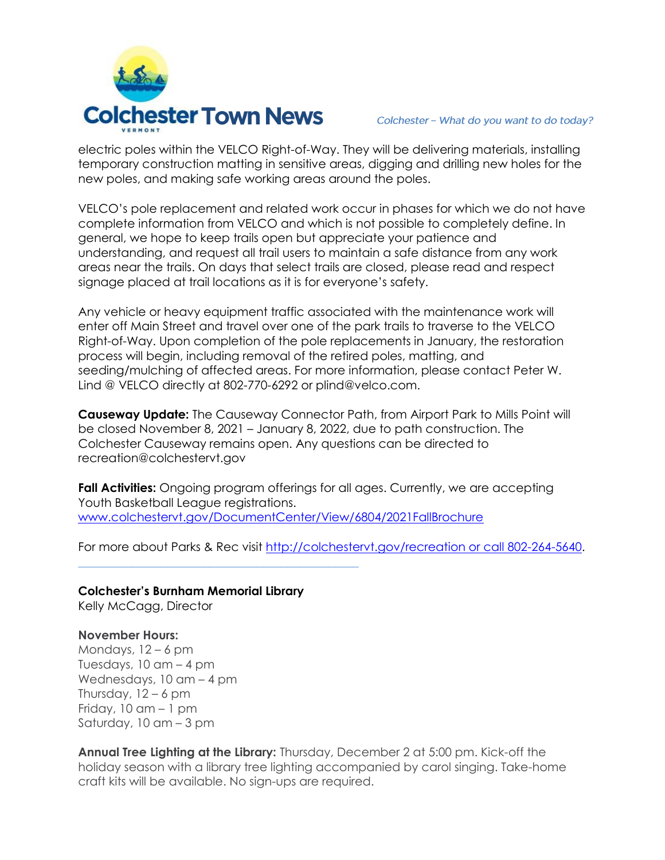

electric poles within the VELCO Right-of-Way. They will be delivering materials, installing temporary construction matting in sensitive areas, digging and drilling new holes for the new poles, and making safe working areas around the poles.

VELCO's pole replacement and related work occur in phases for which we do not have complete information from VELCO and which is not possible to completely define. In general, we hope to keep trails open but appreciate your patience and understanding, and request all trail users to maintain a safe distance from any work areas near the trails. On days that select trails are closed, please read and respect signage placed at trail locations as it is for everyone's safety.

Any vehicle or heavy equipment traffic associated with the maintenance work will enter off Main Street and travel over one of the park trails to traverse to the VELCO Right-of-Way. Upon completion of the pole replacements in January, the restoration process will begin, including removal of the retired poles, matting, and seeding/mulching of affected areas. For more information, please contact Peter W. Lind @ VELCO directly at 802-770-6292 or plind@velco.com.

**Causeway Update:** The Causeway Connector Path, from Airport Park to Mills Point will be closed November 8, 2021 – January 8, 2022, due to path construction. The Colchester Causeway remains open. Any questions can be directed to [recreation@colchestervt.gov](mailto:recreation@colchestervt.gov)

**Fall Activities:** Ongoing program offerings for all ages. Currently, we are accepting Youth Basketball League registrations. [www.colchestervt.gov/DocumentCenter/View/6804/2021FallBrochure](http://www.colchestervt.gov/DocumentCenter/View/6804/2021FallBrochure)

For more about Parks & Rec visit [http://colchestervt.gov/recreation or call 802-264-5640.](http://colchestervt.gov/recreation%20or%20call%20802-264-5640)

**Colchester's Burnham Memorial Library** Kelly McCagg, Director

**\_\_\_\_\_\_\_\_\_\_\_\_\_\_\_\_\_\_\_\_\_\_\_\_\_\_\_\_\_\_\_\_\_\_\_\_\_\_\_\_\_\_\_\_\_\_\_**

#### **November Hours:**

Mondays, 12 – 6 pm Tuesdays,  $10$  am  $-$  4 pm Wednesdays, 10 am – 4 pm Thursday,  $12 - 6$  pm Friday,  $10$  am  $-1$  pm Saturday, 10 am – 3 pm

**Annual Tree Lighting at the Library:** Thursday, December 2 at 5:00 pm. Kick-off the holiday season with a library tree lighting accompanied by carol singing. Take-home craft kits will be available. No sign-ups are required.